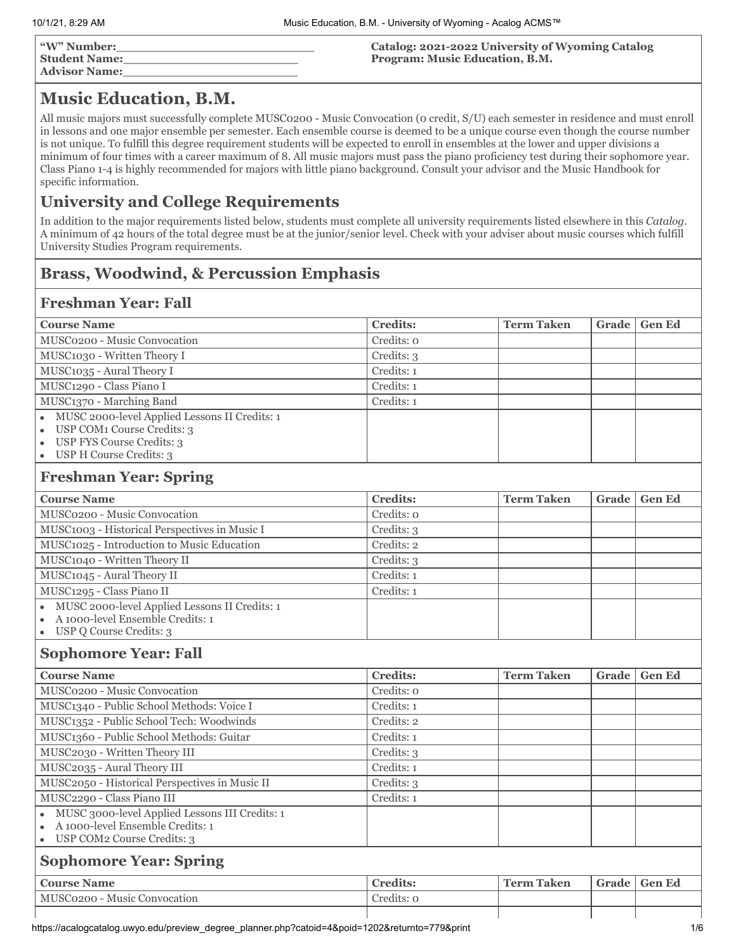| "W" Number:<br><b>Student Name:</b><br><b>Advisor Name:</b> | Catalog: 2021-2022 University of Wyoming Catalog<br>Program: Music Education, B.M. |
|-------------------------------------------------------------|------------------------------------------------------------------------------------|
|                                                             |                                                                                    |

# **Music Education, B.M.**

All music majors must successfully complete MUSC0200 - Music Convocation (0 credit, S/U) each semester in residence and must enroll in lessons and one major ensemble per semester. Each ensemble course is deemed to be a unique course even though the course number is not unique. To fulfill this degree requirement students will be expected to enroll in ensembles at the lower and upper divisions a minimum of four times with a career maximum of 8. All music majors must pass the piano proficiency test during their sophomore year. Class Piano 1-4 is highly recommended for majors with little piano background. Consult your advisor and the Music Handbook for specific information.

## **University and College Requirements**

In addition to the major requirements listed below, students must complete all university requirements listed elsewhere in this *Catalog*. A minimum of 42 hours of the total degree must be at the junior/senior level. Check with your adviser about music courses which fulfill University Studies Program requirements.

## **Brass, Woodwind, & Percussion Emphasis**

## **Freshman Year: Fall**

| <b>Course Name</b>                                                                                                                         | <b>Credits:</b> | <b>Term Taken</b> | Grade | <b>Gen Ed</b> |
|--------------------------------------------------------------------------------------------------------------------------------------------|-----------------|-------------------|-------|---------------|
| MUSC0200 - Music Convocation                                                                                                               | Credits: o      |                   |       |               |
| MUSC1030 - Written Theory I                                                                                                                | Credits: 3      |                   |       |               |
| MUSC1035 - Aural Theory I                                                                                                                  | Credits: 1      |                   |       |               |
| MUSC1290 - Class Piano I                                                                                                                   | Credits: 1      |                   |       |               |
| MUSC1370 - Marching Band                                                                                                                   | Credits: 1      |                   |       |               |
| MUSC 2000-level Applied Lessons II Credits: 1<br>$\bullet$<br>USP COM1 Course Credits: 3                                                   |                 |                   |       |               |
| <b>USP FYS Course Credits: 3</b><br>$\bullet$<br>USP H Course Credits: 3<br>$\bullet$                                                      |                 |                   |       |               |
| <b>Freshman Year: Spring</b>                                                                                                               |                 |                   |       |               |
| <b>Course Name</b>                                                                                                                         | <b>Credits:</b> | <b>Term Taken</b> | Grade | <b>Gen Ed</b> |
| MUSC0200 - Music Convocation                                                                                                               | Credits: o      |                   |       |               |
| MUSC1003 - Historical Perspectives in Music I                                                                                              | Credits: 3      |                   |       |               |
| MUSC1025 - Introduction to Music Education                                                                                                 | Credits: 2      |                   |       |               |
| MUSC1040 - Written Theory II                                                                                                               | Credits: 3      |                   |       |               |
| MUSC1045 - Aural Theory II                                                                                                                 | Credits: 1      |                   |       |               |
| MUSC1295 - Class Piano II                                                                                                                  | Credits: 1      |                   |       |               |
| MUSC 2000-level Applied Lessons II Credits: 1<br>A 1000-level Ensemble Credits: 1<br>USP Q Course Credits: 3<br>$\bullet$                  |                 |                   |       |               |
| <b>Sophomore Year: Fall</b>                                                                                                                |                 |                   |       |               |
| <b>Course Name</b>                                                                                                                         | <b>Credits:</b> | <b>Term Taken</b> | Grade | <b>Gen Ed</b> |
| MUSC0200 - Music Convocation                                                                                                               | Credits: 0      |                   |       |               |
| MUSC1340 - Public School Methods: Voice I                                                                                                  | Credits: 1      |                   |       |               |
| MUSC1352 - Public School Tech: Woodwinds                                                                                                   | Credits: 2      |                   |       |               |
| MUSC1360 - Public School Methods: Guitar                                                                                                   | Credits: 1      |                   |       |               |
| MUSC2030 - Written Theory III                                                                                                              | Credits: 3      |                   |       |               |
| MUSC2035 - Aural Theory III                                                                                                                | Credits: 1      |                   |       |               |
| MUSC2050 - Historical Perspectives in Music II                                                                                             | Credits: 3      |                   |       |               |
| MUSC2290 - Class Piano III                                                                                                                 | Credits: 1      |                   |       |               |
| MUSC 3000-level Applied Lessons III Credits: 1<br>A 1000-level Ensemble Credits: 1<br>$\bullet$<br>USP COM2 Course Credits: 3<br>$\bullet$ |                 |                   |       |               |
| <b>Sophomore Year: Spring</b>                                                                                                              |                 |                   |       |               |
| <b>Course Name</b>                                                                                                                         | <b>Credits:</b> | <b>Term Taken</b> | Grade | <b>Gen Ed</b> |
| MUSC0200 - Music Convocation                                                                                                               | Credits: 0      |                   |       |               |
|                                                                                                                                            |                 |                   |       |               |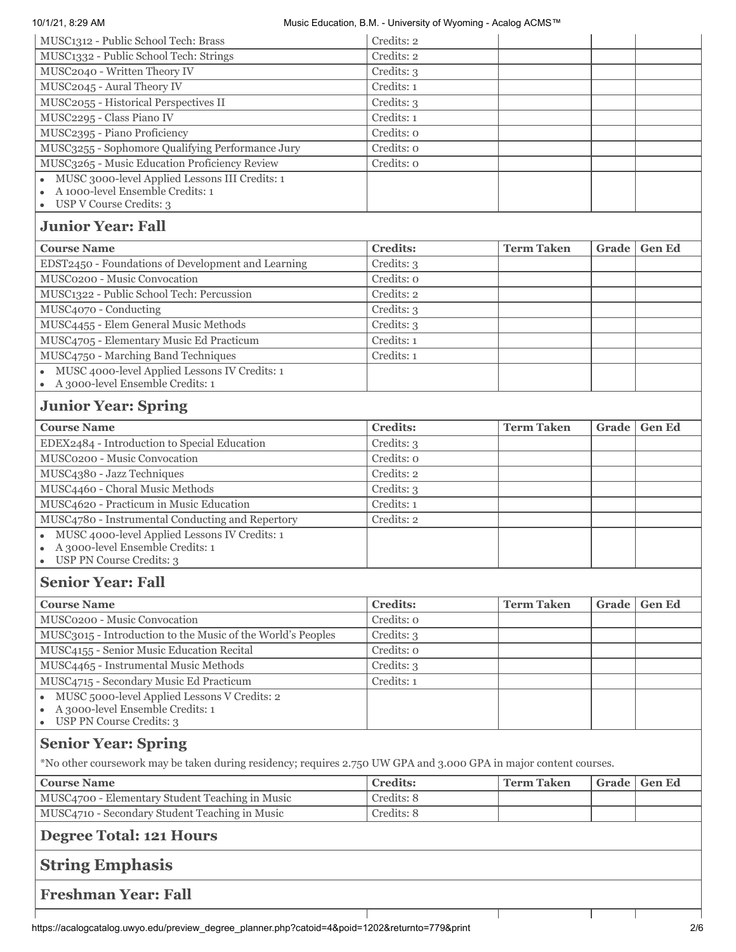| 10/1/21, 8:29 AM<br>Music Education, B.M. - University of Wyoming - Acalog ACMS™                              |                 |                   |       |               |
|---------------------------------------------------------------------------------------------------------------|-----------------|-------------------|-------|---------------|
| MUSC1312 - Public School Tech: Brass                                                                          | Credits: 2      |                   |       |               |
| MUSC1332 - Public School Tech: Strings                                                                        | Credits: 2      |                   |       |               |
| MUSC2040 - Written Theory IV                                                                                  | Credits: 3      |                   |       |               |
| MUSC2045 - Aural Theory IV                                                                                    | Credits: 1      |                   |       |               |
| MUSC2055 - Historical Perspectives II                                                                         | Credits: 3      |                   |       |               |
| MUSC2295 - Class Piano IV                                                                                     | Credits: 1      |                   |       |               |
| MUSC2395 - Piano Proficiency                                                                                  | Credits: o      |                   |       |               |
| MUSC3255 - Sophomore Qualifying Performance Jury                                                              | Credits: o      |                   |       |               |
| MUSC3265 - Music Education Proficiency Review                                                                 | Credits: o      |                   |       |               |
| MUSC 3000-level Applied Lessons III Credits: 1<br>A 1000-level Ensemble Credits: 1<br>USP V Course Credits: 3 |                 |                   |       |               |
| <b>Junior Year: Fall</b>                                                                                      |                 |                   |       |               |
| <b>Course Name</b>                                                                                            | <b>Credits:</b> | <b>Term Taken</b> | Grade | <b>Gen Ed</b> |
| EDST2450 - Foundations of Development and Learning                                                            | Credits: 3      |                   |       |               |
| MUSC0200 - Music Convocation                                                                                  | Credits: o      |                   |       |               |
| MUSC1322 - Public School Tech: Percussion                                                                     | Credits: 2      |                   |       |               |
| MUSC4070 - Conducting                                                                                         | Credits: 3      |                   |       |               |
| MUSC4455 - Elem General Music Methods                                                                         | Credits: 3      |                   |       |               |
| MUSC4705 - Elementary Music Ed Practicum                                                                      | Credits: 1      |                   |       |               |
| MUSC4750 - Marching Band Techniques                                                                           | Credits: 1      |                   |       |               |
| MUSC 4000-level Applied Lessons IV Credits: 1<br>A 3000-level Ensemble Credits: 1                             |                 |                   |       |               |
| <b>Junior Year: Spring</b>                                                                                    |                 |                   |       |               |
| <b>Course Name</b>                                                                                            | <b>Credits:</b> | <b>Term Taken</b> | Grade | <b>Gen Ed</b> |
| EDEX2484 - Introduction to Special Education                                                                  | Credits: 3      |                   |       |               |
| MUSC0200 - Music Convocation                                                                                  | Credits: o      |                   |       |               |
| MUSC4380 - Jazz Techniques                                                                                    | Credits: 2      |                   |       |               |
| MUSC4460 - Choral Music Methods                                                                               | Credits: 3      |                   |       |               |
| MUSC4620 - Practicum in Music Education                                                                       | Credits: 1      |                   |       |               |
| MUSC4780 - Instrumental Conducting and Repertory                                                              | Credits: 2      |                   |       |               |
| MUSC 4000-level Applied Lessons IV Credits: 1<br>A 3000-level Ensemble Credits: 1                             |                 |                   |       |               |
| USP PN Course Credits: 3                                                                                      |                 |                   |       |               |
| <b>Senior Year: Fall</b>                                                                                      |                 |                   |       |               |
| <b>Course Name</b>                                                                                            | <b>Credits:</b> | <b>Term Taken</b> | Grade | <b>Gen Ed</b> |
| MUSC0200 - Music Convocation                                                                                  | Credits: o      |                   |       |               |
| MUSC3015 - Introduction to the Music of the World's Peoples                                                   | Credits: 3      |                   |       |               |
| MUSC4155 - Senior Music Education Recital                                                                     | Credits: o      |                   |       |               |
|                                                                                                               |                 |                   |       |               |
| MUSC4465 - Instrumental Music Methods                                                                         | Credits: 3      |                   |       |               |

A 3000-level Ensemble Credits: 1  $\bullet$ USP PN Course Credits: 3  $\bullet$ 

MUSC 5000-level Applied Lessons V Credits: 2

# **Senior Year: Spring**

 $\bullet$ 

\*No other coursework may be taken during residency; requires 2.750 UW GPA and 3.000 GPA in major content courses.

| <b>Course Name</b>                              | <b>Credits:</b> | ' Term Taken | Grade   Gen Ed |
|-------------------------------------------------|-----------------|--------------|----------------|
| MUSC4700 - Elementary Student Teaching in Music | Credits: 8      |              |                |
| MUSC4710 - Secondary Student Teaching in Music  | Credits: 8      |              |                |

# **Degree Total: 121 Hours**

## **String Emphasis**

**Freshman Year: Fall**

 $\mathbf{I}$ 

 $\mathbf{I}$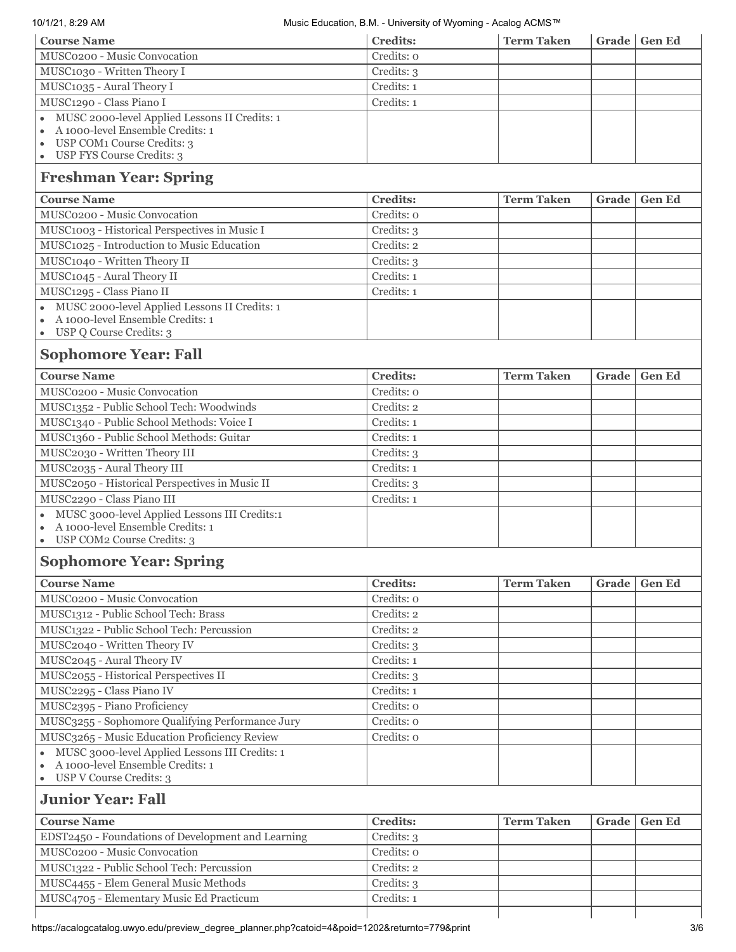### 10/1/21, 8:29 AM Music Education, B.M. - University of Wyoming - Acalog ACMS™

| <b>Course Name</b>                                                                                           | <b>Credits:</b> | <b>Term Taken</b> |       | Grade   Gen Ed |
|--------------------------------------------------------------------------------------------------------------|-----------------|-------------------|-------|----------------|
| MUSC0200 - Music Convocation                                                                                 | Credits: o      |                   |       |                |
| MUSC1030 - Written Theory I                                                                                  | Credits: 3      |                   |       |                |
| MUSC1035 - Aural Theory I                                                                                    | Credits: 1      |                   |       |                |
| MUSC1290 - Class Piano I                                                                                     | Credits: 1      |                   |       |                |
| MUSC 2000-level Applied Lessons II Credits: 1<br>$\bullet$                                                   |                 |                   |       |                |
| A 1000-level Ensemble Credits: 1<br>$\bullet$                                                                |                 |                   |       |                |
| USP COM1 Course Credits: 3                                                                                   |                 |                   |       |                |
| • USP FYS Course Credits: 3                                                                                  |                 |                   |       |                |
| <b>Freshman Year: Spring</b>                                                                                 |                 |                   |       |                |
| <b>Course Name</b>                                                                                           | <b>Credits:</b> | <b>Term Taken</b> | Grade | <b>Gen Ed</b>  |
| MUSC0200 - Music Convocation                                                                                 | Credits: o      |                   |       |                |
| MUSC1003 - Historical Perspectives in Music I                                                                | Credits: 3      |                   |       |                |
| MUSC1025 - Introduction to Music Education                                                                   | Credits: 2      |                   |       |                |
| MUSC1040 - Written Theory II                                                                                 | Credits: 3      |                   |       |                |
| MUSC1045 - Aural Theory II                                                                                   | Credits: 1      |                   |       |                |
| MUSC1295 - Class Piano II                                                                                    | Credits: 1      |                   |       |                |
| MUSC 2000-level Applied Lessons II Credits: 1<br>$\bullet$                                                   |                 |                   |       |                |
| A 1000-level Ensemble Credits: 1<br>$\bullet$<br>• USP Q Course Credits: 3                                   |                 |                   |       |                |
|                                                                                                              |                 |                   |       |                |
| <b>Sophomore Year: Fall</b>                                                                                  |                 |                   |       |                |
| <b>Course Name</b>                                                                                           | <b>Credits:</b> | <b>Term Taken</b> | Grade | <b>Gen Ed</b>  |
| MUSC0200 - Music Convocation                                                                                 | Credits: o      |                   |       |                |
| MUSC1352 - Public School Tech: Woodwinds                                                                     | Credits: 2      |                   |       |                |
| MUSC1340 - Public School Methods: Voice I                                                                    | Credits: 1      |                   |       |                |
| MUSC1360 - Public School Methods: Guitar                                                                     | Credits: 1      |                   |       |                |
| MUSC2030 - Written Theory III                                                                                | Credits: 3      |                   |       |                |
| MUSC2035 - Aural Theory III                                                                                  | Credits: 1      |                   |       |                |
| MUSC2050 - Historical Perspectives in Music II                                                               | Credits: 3      |                   |       |                |
| MUSC2290 - Class Piano III                                                                                   | Credits: 1      |                   |       |                |
| MUSC 3000-level Applied Lessons III Credits:1<br>$\bullet$                                                   |                 |                   |       |                |
| A 1000-level Ensemble Credits: 1<br>$\bullet$<br>USP COM2 Course Credits: 3                                  |                 |                   |       |                |
|                                                                                                              |                 |                   |       |                |
| <b>Sophomore Year: Spring</b>                                                                                |                 |                   |       |                |
| <b>Course Name</b>                                                                                           | <b>Credits:</b> | <b>Term Taken</b> | Grade | <b>Gen Ed</b>  |
| MUSC0200 - Music Convocation                                                                                 | Credits: o      |                   |       |                |
| MUSC1312 - Public School Tech: Brass                                                                         | Credits: 2      |                   |       |                |
| MUSC1322 - Public School Tech: Percussion                                                                    | Credits: 2      |                   |       |                |
| MUSC2040 - Written Theory IV                                                                                 | Credits: 3      |                   |       |                |
| MUSC2045 - Aural Theory IV                                                                                   | Credits: 1      |                   |       |                |
| MUSC2055 - Historical Perspectives II                                                                        | Credits: 3      |                   |       |                |
| MUSC2295 - Class Piano IV                                                                                    | Credits: 1      |                   |       |                |
| MUSC2395 - Piano Proficiency                                                                                 | Credits: o      |                   |       |                |
| MUSC3255 - Sophomore Qualifying Performance Jury                                                             | Credits: o      |                   |       |                |
| MUSC3265 - Music Education Proficiency Review                                                                | Credits: o      |                   |       |                |
| MUSC 3000-level Applied Lessons III Credits: 1<br>$\bullet$<br>A 1000-level Ensemble Credits: 1<br>$\bullet$ |                 |                   |       |                |
| USP V Course Credits: 3                                                                                      |                 |                   |       |                |
| <b>Junior Year: Fall</b>                                                                                     |                 |                   |       |                |
| <b>Course Name</b>                                                                                           | <b>Credits:</b> | <b>Term Taken</b> | Grade | <b>Gen Ed</b>  |
| EDST2450 - Foundations of Development and Learning                                                           | Credits: 3      |                   |       |                |
| MUSC0200 - Music Convocation                                                                                 | Credits: 0      |                   |       |                |
| MUSC1322 - Public School Tech: Percussion                                                                    | Credits: 2      |                   |       |                |

MUSC4455 - Elem General Music Methods Credits: 3 MUSC4705 - Elementary Music Ed Practicum Credits: 1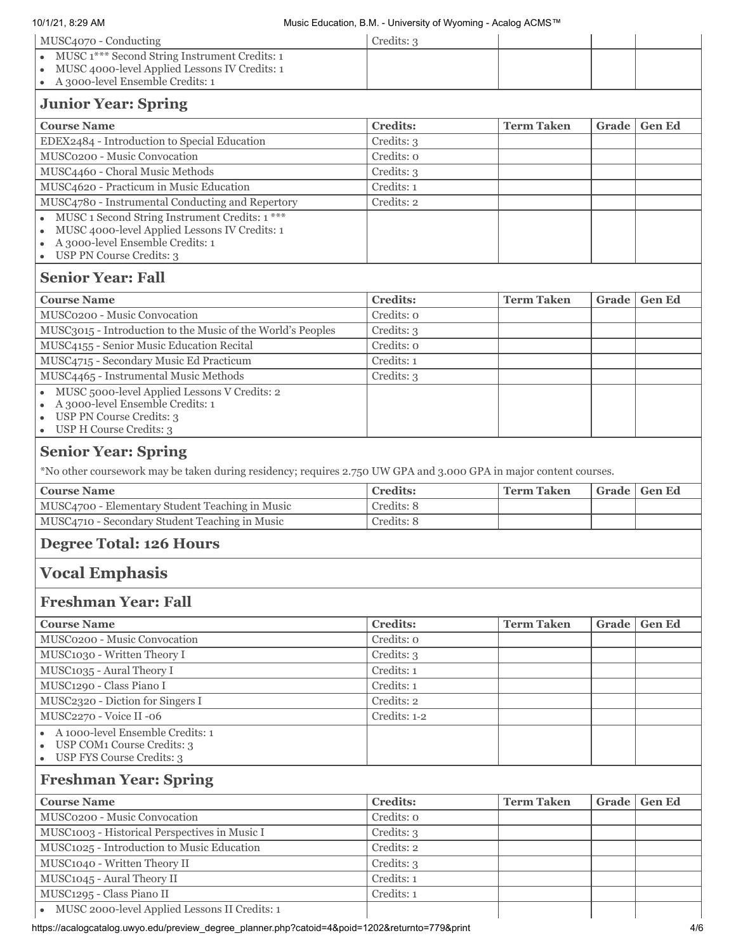| 10/1/21, 8:29 AM                                                                                                                                                      | Music Education, B.M. - University of Wyoming - Acalog ACMS™ |                   |       |               |
|-----------------------------------------------------------------------------------------------------------------------------------------------------------------------|--------------------------------------------------------------|-------------------|-------|---------------|
| MUSC4070 - Conducting                                                                                                                                                 | Credits: 3                                                   |                   |       |               |
| MUSC 1*** Second String Instrument Credits: 1                                                                                                                         |                                                              |                   |       |               |
| MUSC 4000-level Applied Lessons IV Credits: 1                                                                                                                         |                                                              |                   |       |               |
| A 3000-level Ensemble Credits: 1                                                                                                                                      |                                                              |                   |       |               |
| <b>Junior Year: Spring</b>                                                                                                                                            |                                                              |                   |       |               |
| <b>Course Name</b>                                                                                                                                                    | <b>Credits:</b>                                              | <b>Term Taken</b> | Grade | <b>Gen Ed</b> |
| EDEX2484 - Introduction to Special Education                                                                                                                          | Credits: 3                                                   |                   |       |               |
| MUSC0200 - Music Convocation                                                                                                                                          | Credits: o                                                   |                   |       |               |
| MUSC4460 - Choral Music Methods                                                                                                                                       | Credits: 3                                                   |                   |       |               |
| MUSC4620 - Practicum in Music Education                                                                                                                               | Credits: 1                                                   |                   |       |               |
| MUSC4780 - Instrumental Conducting and Repertory                                                                                                                      | Credits: 2                                                   |                   |       |               |
| MUSC 1 Second String Instrument Credits: 1 ***<br>MUSC 4000-level Applied Lessons IV Credits: 1<br>A 3000-level Ensemble Credits: 1<br>USP PN Course Credits: 3       |                                                              |                   |       |               |
| <b>Senior Year: Fall</b>                                                                                                                                              |                                                              |                   |       |               |
| <b>Course Name</b>                                                                                                                                                    | <b>Credits:</b>                                              | <b>Term Taken</b> | Grade | <b>Gen Ed</b> |
| MUSC0200 - Music Convocation                                                                                                                                          | Credits: o                                                   |                   |       |               |
| MUSC3015 - Introduction to the Music of the World's Peoples                                                                                                           | Credits: 3                                                   |                   |       |               |
| MUSC4155 - Senior Music Education Recital                                                                                                                             | Credits: 0                                                   |                   |       |               |
| MUSC4715 - Secondary Music Ed Practicum                                                                                                                               | Credits: 1                                                   |                   |       |               |
| MUSC4465 - Instrumental Music Methods                                                                                                                                 | Credits: 3                                                   |                   |       |               |
| MUSC 5000-level Applied Lessons V Credits: 2<br>A 3000-level Ensemble Credits: 1<br>USP PN Course Credits: 3<br>USP H Course Credits: 3                               |                                                              |                   |       |               |
| <b>Senior Year: Spring</b><br>*No other coursework may be taken during residency; requires 2.750 UW GPA and 3.000 GPA in major content courses.<br><b>Course Name</b> | <b>Credits:</b>                                              | <b>Term Taken</b> | Grade | <b>Gen Ed</b> |
| MUSC4700 - Elementary Student Teaching in Music                                                                                                                       | Credits: 8                                                   |                   |       |               |
| MUSC4710 - Secondary Student Teaching in Music                                                                                                                        | Credits: 8                                                   |                   |       |               |
| <b>Degree Total: 126 Hours</b>                                                                                                                                        |                                                              |                   |       |               |
| <b>Vocal Emphasis</b>                                                                                                                                                 |                                                              |                   |       |               |
| <b>Freshman Year: Fall</b>                                                                                                                                            |                                                              |                   |       |               |
| <b>Course Name</b>                                                                                                                                                    | <b>Credits:</b>                                              | <b>Term Taken</b> | Grade | <b>Gen Ed</b> |
| MUSC0200 - Music Convocation                                                                                                                                          | Credits: o                                                   |                   |       |               |
| MUSC1030 - Written Theory I                                                                                                                                           | Credits: 3                                                   |                   |       |               |
| MUSC1035 - Aural Theory I                                                                                                                                             | Credits: 1                                                   |                   |       |               |
| MUSC1290 - Class Piano I                                                                                                                                              | Credits: 1                                                   |                   |       |               |
| MUSC2320 - Diction for Singers I                                                                                                                                      | Credits: 2                                                   |                   |       |               |
| MUSC2270 - Voice II -06                                                                                                                                               | Credits: 1-2                                                 |                   |       |               |
| A 1000-level Ensemble Credits: 1                                                                                                                                      |                                                              |                   |       |               |
| USP COM1 Course Credits: 3                                                                                                                                            |                                                              |                   |       |               |
| USP FYS Course Credits: 3<br>$\bullet$                                                                                                                                |                                                              |                   |       |               |
| <b>Freshman Year: Spring</b>                                                                                                                                          |                                                              |                   |       |               |
| <b>Course Name</b>                                                                                                                                                    | <b>Credits:</b>                                              | <b>Term Taken</b> | Grade | <b>Gen Ed</b> |
| MUSC0200 - Music Convocation                                                                                                                                          | Credits: o                                                   |                   |       |               |
| MUSC1003 - Historical Perspectives in Music I                                                                                                                         | Credits: 3                                                   |                   |       |               |
| MUSC1025 - Introduction to Music Education                                                                                                                            | Credits: 2                                                   |                   |       |               |
| MUSC1040 - Written Theory II                                                                                                                                          | Credits: 3                                                   |                   |       |               |
| MUSC1045 - Aural Theory II                                                                                                                                            | Credits: 1                                                   |                   |       |               |
| MUSC1295 - Class Piano II                                                                                                                                             | Credits: 1                                                   |                   |       |               |
| MUSC 2000-level Applied Lessons II Credits: 1                                                                                                                         |                                                              |                   |       |               |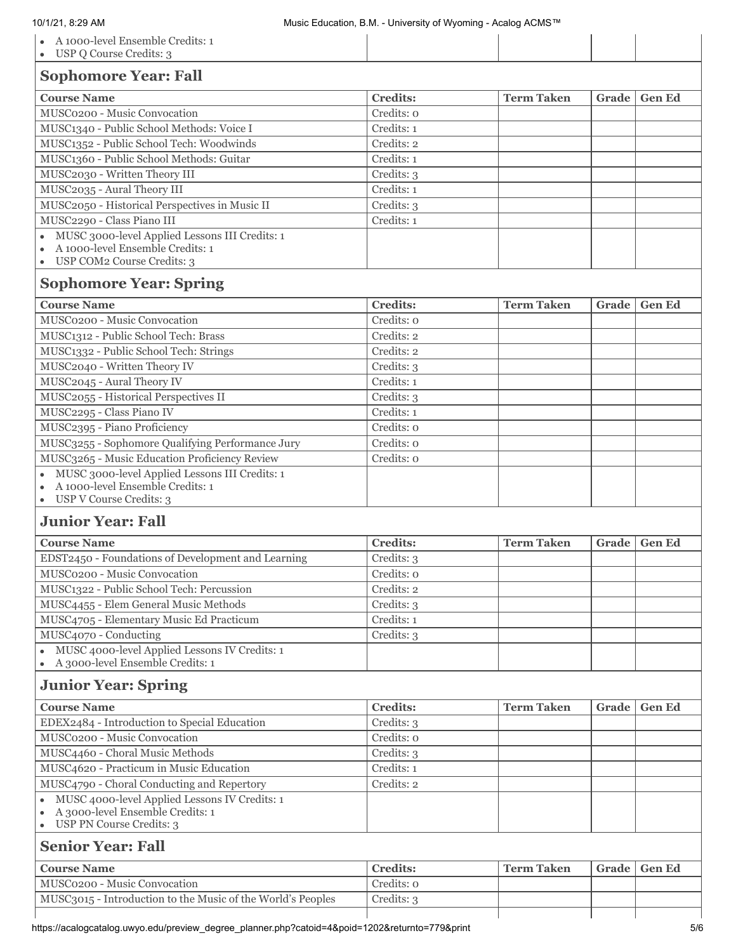| A 1000-level Ensemble Credits: 1<br>USP Q Course Credits: 3                                                                                                                                                                                                                                                                                                                                                                                                               |                 |                   |              |               |
|---------------------------------------------------------------------------------------------------------------------------------------------------------------------------------------------------------------------------------------------------------------------------------------------------------------------------------------------------------------------------------------------------------------------------------------------------------------------------|-----------------|-------------------|--------------|---------------|
| <b>Sophomore Year: Fall</b>                                                                                                                                                                                                                                                                                                                                                                                                                                               |                 |                   |              |               |
| <b>Course Name</b>                                                                                                                                                                                                                                                                                                                                                                                                                                                        | <b>Credits:</b> | <b>Term Taken</b> | Grade        | <b>Gen Ed</b> |
| MUSC0200 - Music Convocation                                                                                                                                                                                                                                                                                                                                                                                                                                              | Credits: o      |                   |              |               |
| MUSC1340 - Public School Methods: Voice I                                                                                                                                                                                                                                                                                                                                                                                                                                 | Credits: 1      |                   |              |               |
| MUSC1352 - Public School Tech: Woodwinds                                                                                                                                                                                                                                                                                                                                                                                                                                  | Credits: 2      |                   |              |               |
| MUSC1360 - Public School Methods: Guitar                                                                                                                                                                                                                                                                                                                                                                                                                                  | Credits: 1      |                   |              |               |
| MUSC2030 - Written Theory III                                                                                                                                                                                                                                                                                                                                                                                                                                             | Credits: 3      |                   |              |               |
| MUSC2035 - Aural Theory III                                                                                                                                                                                                                                                                                                                                                                                                                                               | Credits: 1      |                   |              |               |
| MUSC2050 - Historical Perspectives in Music II                                                                                                                                                                                                                                                                                                                                                                                                                            | Credits: 3      |                   |              |               |
| MUSC2290 - Class Piano III                                                                                                                                                                                                                                                                                                                                                                                                                                                | Credits: 1      |                   |              |               |
| MUSC 3000-level Applied Lessons III Credits: 1<br>A 1000-level Ensemble Credits: 1<br>USP COM2 Course Credits: 3                                                                                                                                                                                                                                                                                                                                                          |                 |                   |              |               |
| <b>Sophomore Year: Spring</b>                                                                                                                                                                                                                                                                                                                                                                                                                                             |                 |                   |              |               |
| <b>Course Name</b>                                                                                                                                                                                                                                                                                                                                                                                                                                                        | <b>Credits:</b> | <b>Term Taken</b> | <b>Grade</b> | <b>Gen Ed</b> |
| MUSC0200 - Music Convocation                                                                                                                                                                                                                                                                                                                                                                                                                                              | Credits: o      |                   |              |               |
| MUSC1312 - Public School Tech: Brass                                                                                                                                                                                                                                                                                                                                                                                                                                      | Credits: 2      |                   |              |               |
| MUSC1332 - Public School Tech: Strings                                                                                                                                                                                                                                                                                                                                                                                                                                    | Credits: 2      |                   |              |               |
| MUSC2040 - Written Theory IV                                                                                                                                                                                                                                                                                                                                                                                                                                              | Credits: 3      |                   |              |               |
| MUSC2045 - Aural Theory IV                                                                                                                                                                                                                                                                                                                                                                                                                                                | Credits: 1      |                   |              |               |
| MUSC2055 - Historical Perspectives II                                                                                                                                                                                                                                                                                                                                                                                                                                     | Credits: 3      |                   |              |               |
| MUSC2295 - Class Piano IV                                                                                                                                                                                                                                                                                                                                                                                                                                                 | Credits: 1      |                   |              |               |
| MUSC2395 - Piano Proficiency                                                                                                                                                                                                                                                                                                                                                                                                                                              | Credits: o      |                   |              |               |
| MUSC3255 - Sophomore Qualifying Performance Jury                                                                                                                                                                                                                                                                                                                                                                                                                          | Credits: o      |                   |              |               |
| MUSC3265 - Music Education Proficiency Review                                                                                                                                                                                                                                                                                                                                                                                                                             | Credits: o      |                   |              |               |
| MUSC 3000-level Applied Lessons III Credits: 1<br>A 1000-level Ensemble Credits: 1<br>USP V Course Credits: 3<br>$\bullet$                                                                                                                                                                                                                                                                                                                                                |                 |                   |              |               |
| <b>Junior Year: Fall</b>                                                                                                                                                                                                                                                                                                                                                                                                                                                  |                 |                   |              |               |
| <b>Course Name</b>                                                                                                                                                                                                                                                                                                                                                                                                                                                        | <b>Credits:</b> | <b>Term Taken</b> | Grade        | <b>Gen Ed</b> |
| EDST2450 - Foundations of Development and Learning                                                                                                                                                                                                                                                                                                                                                                                                                        | Credits: 3      |                   |              |               |
| MUSC0200 - Music Convocation                                                                                                                                                                                                                                                                                                                                                                                                                                              | Credits: o      |                   |              |               |
| MUSC1322 - Public School Tech: Percussion                                                                                                                                                                                                                                                                                                                                                                                                                                 | Credits: 2      |                   |              |               |
|                                                                                                                                                                                                                                                                                                                                                                                                                                                                           |                 |                   |              |               |
|                                                                                                                                                                                                                                                                                                                                                                                                                                                                           | Credits: 3      |                   |              |               |
|                                                                                                                                                                                                                                                                                                                                                                                                                                                                           | Credits: 1      |                   |              |               |
|                                                                                                                                                                                                                                                                                                                                                                                                                                                                           | Credits: 3      |                   |              |               |
| MUSC 4000-level Applied Lessons IV Credits: 1<br>A 3000-level Ensemble Credits: 1                                                                                                                                                                                                                                                                                                                                                                                         |                 |                   |              |               |
|                                                                                                                                                                                                                                                                                                                                                                                                                                                                           |                 |                   |              |               |
|                                                                                                                                                                                                                                                                                                                                                                                                                                                                           | <b>Credits:</b> | <b>Term Taken</b> | <b>Grade</b> |               |
|                                                                                                                                                                                                                                                                                                                                                                                                                                                                           | Credits: 3      |                   |              |               |
|                                                                                                                                                                                                                                                                                                                                                                                                                                                                           | Credits: o      |                   |              |               |
|                                                                                                                                                                                                                                                                                                                                                                                                                                                                           | Credits: 3      |                   |              |               |
|                                                                                                                                                                                                                                                                                                                                                                                                                                                                           | Credits: 1      |                   |              |               |
|                                                                                                                                                                                                                                                                                                                                                                                                                                                                           | Credits: 2      |                   |              |               |
| MUSC 4000-level Applied Lessons IV Credits: 1<br>A 3000-level Ensemble Credits: 1<br>USP PN Course Credits: 3                                                                                                                                                                                                                                                                                                                                                             |                 |                   |              |               |
| $\bullet$                                                                                                                                                                                                                                                                                                                                                                                                                                                                 |                 |                   |              | <b>Gen Ed</b> |
|                                                                                                                                                                                                                                                                                                                                                                                                                                                                           | <b>Credits:</b> | <b>Term Taken</b> | Grade        | <b>Gen Ed</b> |
| MUSC4455 - Elem General Music Methods<br>MUSC4705 - Elementary Music Ed Practicum<br>MUSC4070 - Conducting<br>$\bullet$<br><b>Junior Year: Spring</b><br><b>Course Name</b><br>EDEX2484 - Introduction to Special Education<br>MUSC0200 - Music Convocation<br>MUSC4460 - Choral Music Methods<br>MUSC4620 - Practicum in Music Education<br>MUSC4790 - Choral Conducting and Repertory<br><b>Senior Year: Fall</b><br><b>Course Name</b><br>MUSC0200 - Music Convocation | Credits: o      |                   |              |               |
| MUSC3015 - Introduction to the Music of the World's Peoples                                                                                                                                                                                                                                                                                                                                                                                                               | Credits: 3      |                   |              |               |